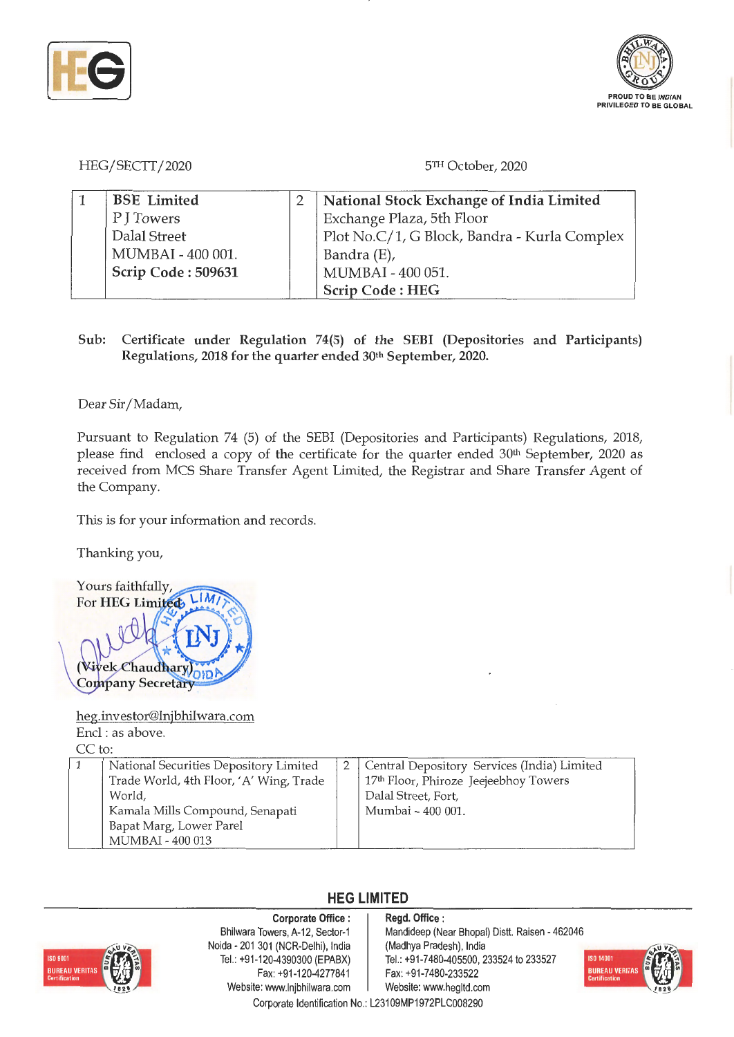



HEG/SECTT/2020 5TH October, 2020

| <b>BSE</b> Limited | National Stock Exchange of India Limited     |  |  |
|--------------------|----------------------------------------------|--|--|
| P J Towers         | Exchange Plaza, 5th Floor                    |  |  |
| Dalal Street       | Plot No.C/1, G Block, Bandra - Kurla Complex |  |  |
| MUMBAI - 400 001.  | Bandra (E),                                  |  |  |
| Scrip Code: 509631 | MUMBAI - 400 051.                            |  |  |
|                    | <b>Scrip Code: HEG</b>                       |  |  |

**Sub: Certificate under Regulation 74(5) of the SEBI (Depositories and Participants) Regulations, 2018 for the quarter ended 30th September, 2020.** 

Dear Sir/ Madam,

Pursuant to Regulation 74 (5) of the SEBI (Depositories and Participants) Regulations, 2018, please find enclosed a copy of the certificate for the quarter ended 30<sup>th</sup> September, 2020 as received from MCS Share Transfer Agent Limited, the Registrar and Share Transfer Agent of the Company.

This is for your information and records.

Thanking you,



heg.investor@lnjbhilwara.com Encl : as above.

CC to:

|  | National Securities Depository Limited<br>Trade World, 4th Floor, 'A' Wing, Trade<br>World.<br>Kamala Mills Compound, Senapati<br>Bapat Marg, Lower Parel<br>MUMBAI - 400 013 |  | Central Depository Services (India) Limited<br>17th Floor, Phiroze Jeejeebhoy Towers<br>Dalal Street, Fort,<br>Mumbai - 400 001. |  |
|--|-------------------------------------------------------------------------------------------------------------------------------------------------------------------------------|--|----------------------------------------------------------------------------------------------------------------------------------|--|
|--|-------------------------------------------------------------------------------------------------------------------------------------------------------------------------------|--|----------------------------------------------------------------------------------------------------------------------------------|--|

## **HEG LIMITED**



**Corporate Office** : Bhilwara Towers, A-12, Sector-1 Noida - 201 301 (NCR-Delhi), India Tel.: +91-120-4390300 (EPABX) Fax: +91-120-4277841 Website: www.lnjbhilwara.com | Website: www.hegltd.com

**Regd. Office** : Mandideep (Near Bhopal) Distt. Raisen - 462046 (Madhya Pradesh), India Tel.: +91 -7480-405500, 233524 to 233527 Fax: +91 -7480-233522



Corporate Identification No.: L23109MP1972PLC008290